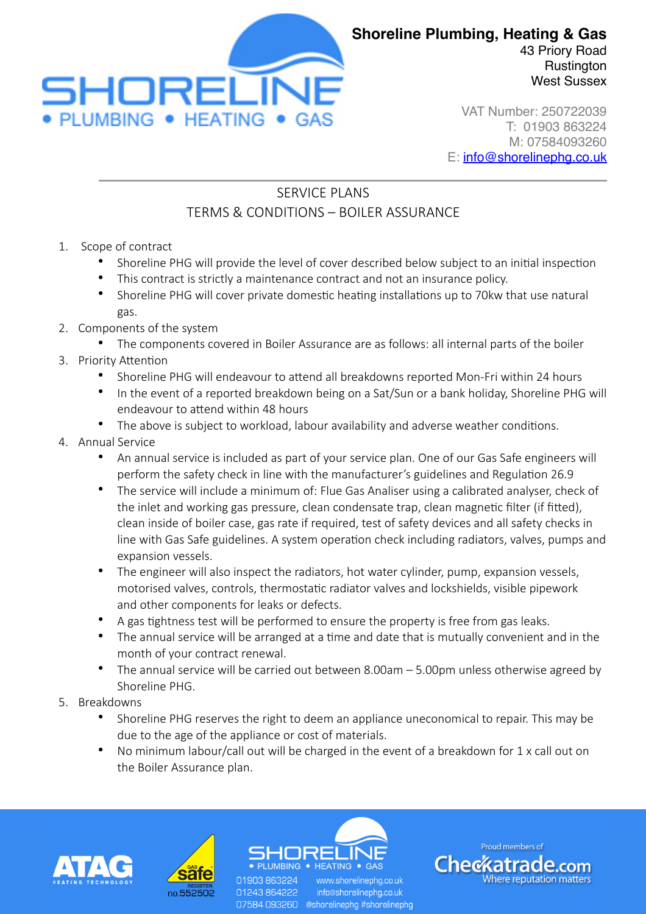

**Rustington** West Sussex

VAT Number: 250722039 T: 01903 863224 M: 07584093260 E: [info@shorelinephg.co.uk](mailto:info@shorelinephg.co.uk)

## SERVICE PLANS TERMS & CONDITIONS – BOILER ASSURANCE

- 1. Scope of contract
	- Shoreline PHG will provide the level of cover described below subject to an initial inspection
	- This contract is strictly a maintenance contract and not an insurance policy.
	- Shoreline PHG will cover private domestic heating installations up to 70kw that use natural gas.
- 2. Components of the system
	- The components covered in Boiler Assurance are as follows: all internal parts of the boiler
- 3. Priority Attention
	- Shoreline PHG will endeavour to attend all breakdowns reported Mon-Fri within 24 hours
	- In the event of a reported breakdown being on a Sat/Sun or a bank holiday, Shoreline PHG will endeavour to attend within 48 hours
	- The above is subject to workload, labour availability and adverse weather conditions.
- 4. Annual Service
	- An annual service is included as part of your service plan. One of our Gas Safe engineers will perform the safety check in line with the manufacturer's guidelines and Regulation 26.9
	- The service will include a minimum of: Flue Gas Analiser using a calibrated analyser, check of the inlet and working gas pressure, clean condensate trap, clean magnetic filter (if fitted), clean inside of boiler case, gas rate if required, test of safety devices and all safety checks in line with Gas Safe guidelines. A system operation check including radiators, valves, pumps and expansion vessels.
	- The engineer will also inspect the radiators, hot water cylinder, pump, expansion vessels, motorised valves, controls, thermostatic radiator valves and lockshields, visible pipework and other components for leaks or defects.
	- A gas tightness test will be performed to ensure the property is free from gas leaks.
	- The annual service will be arranged at a time and date that is mutually convenient and in the month of your contract renewal.
	- The annual service will be carried out between 8.00am 5.00pm unless otherwise agreed by Shoreline PHG.
- 5. Breakdowns
	- Shoreline PHG reserves the right to deem an appliance uneconomical to repair. This may be due to the age of the appliance or cost of materials.
	- No minimum labour/call out will be charged in the event of a breakdown for 1 x call out on the Boiler Assurance plan.





 $HFATIME \bullet GAS$ 01903 863224 www.shorelinepha.co.uk info@shorelinephg.co.uk 01243864222

07584 093260 @shorelinephg #shorelinephg

Proud members of Checkatrade.com *Mhere reputation matters*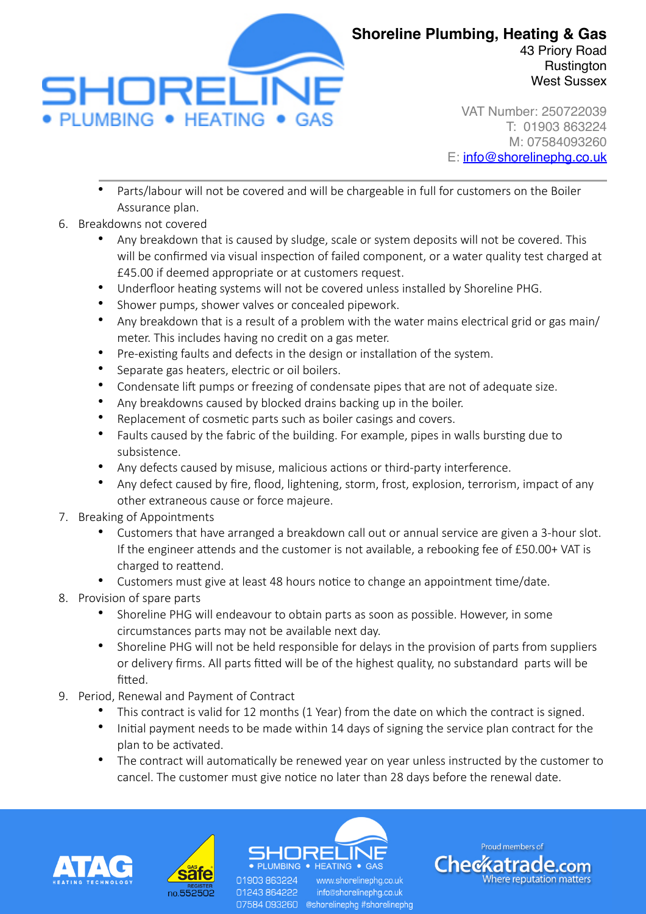

VAT Number: 250722039 T: 01903 863224 M: 07584093260 E: [info@shorelinephg.co.uk](mailto:info@shorelinephg.co.uk)

West Sussex

- Parts/labour will not be covered and will be chargeable in full for customers on the Boiler Assurance plan.
- 6. Breakdowns not covered
	- Any breakdown that is caused by sludge, scale or system deposits will not be covered. This will be confirmed via visual inspection of failed component, or a water quality test charged at £45.00 if deemed appropriate or at customers request.
	- Underfloor heating systems will not be covered unless installed by Shoreline PHG.
	- Shower pumps, shower valves or concealed pipework.
	- Any breakdown that is a result of a problem with the water mains electrical grid or gas main/ meter. This includes having no credit on a gas meter.
	- Pre-existing faults and defects in the design or installation of the system.
	- Separate gas heaters, electric or oil boilers.
	- Condensate lift pumps or freezing of condensate pipes that are not of adequate size.
	- Any breakdowns caused by blocked drains backing up in the boiler.
	- Replacement of cosmetic parts such as boiler casings and covers.
	- Faults caused by the fabric of the building. For example, pipes in walls bursting due to subsistence.
	- Any defects caused by misuse, malicious actions or third-party interference.
	- Any defect caused by fire, flood, lightening, storm, frost, explosion, terrorism, impact of any other extraneous cause or force majeure.
- 7. Breaking of Appointments
	- Customers that have arranged a breakdown call out or annual service are given a 3-hour slot. If the engineer attends and the customer is not available, a rebooking fee of £50.00+ VAT is charged to reattend.
	- Customers must give at least 48 hours notice to change an appointment time/date.
- 8. Provision of spare parts
	- Shoreline PHG will endeavour to obtain parts as soon as possible. However, in some circumstances parts may not be available next day.
	- Shoreline PHG will not be held responsible for delays in the provision of parts from suppliers or delivery firms. All parts fitted will be of the highest quality, no substandard parts will be fitted.
- 9. Period, Renewal and Payment of Contract
	- This contract is valid for 12 months (1 Year) from the date on which the contract is signed.
	- Initial payment needs to be made within 14 days of signing the service plan contract for the plan to be activated.
	- The contract will automatically be renewed year on year unless instructed by the customer to cancel. The customer must give notice no later than 28 days before the renewal date.





01903 863224 01243864222

 $\bullet$  HEATING  $\bullet$  GAS www.shorelinepha.co.uk info@shorelinephg.co.uk 07584 093260 @shorelinephg #shorelinephg